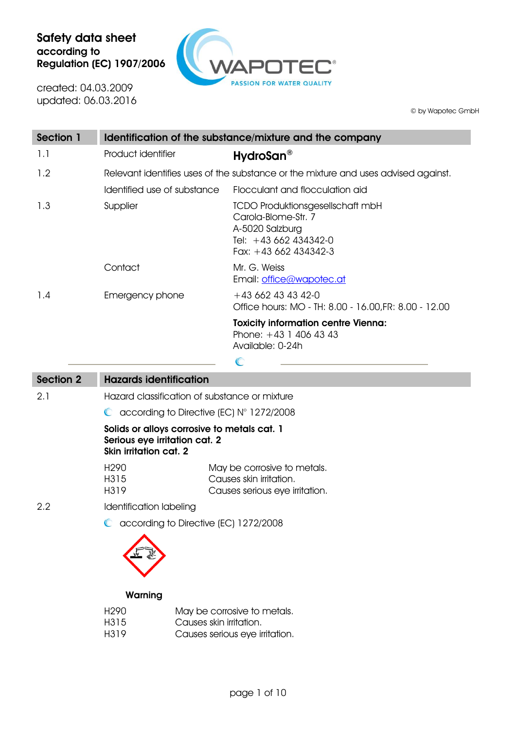

created: 04.03.2009 updated: 06.03.2016

© by Wapotec GmbH

| Section 1        |                                                                                                               | Identification of the substance/mixture and the company                                                                             |  |  |
|------------------|---------------------------------------------------------------------------------------------------------------|-------------------------------------------------------------------------------------------------------------------------------------|--|--|
| 1.1              | Product identifier                                                                                            | HydroSan <sup>®</sup>                                                                                                               |  |  |
| 1.2              |                                                                                                               | Relevant identifies uses of the substance or the mixture and uses advised against.                                                  |  |  |
|                  | Identified use of substance                                                                                   | Flocculant and flocculation aid                                                                                                     |  |  |
| 1.3              | Supplier                                                                                                      | <b>TCDO Produktionsgesellschaft mbH</b><br>Carola-Blome-Str. 7<br>A-5020 Salzburg<br>Tel: +43 662 434342-0<br>Fax: $+43662434342-3$ |  |  |
|                  | Contact                                                                                                       | Mr. G. Weiss<br>Email: office@wapotec.at                                                                                            |  |  |
| 1.4              | Emergency phone                                                                                               | $+43662434342-0$<br>Office hours: MO - TH: 8.00 - 16.00, FR: 8.00 - 12.00                                                           |  |  |
|                  |                                                                                                               | <b>Toxicity information centre Vienna:</b><br>Phone: $+43$ 1 406 43 43<br>Available: 0-24h<br>$\mathbb{C}$                          |  |  |
| <b>Section 2</b> | <b>Hazards identification</b>                                                                                 |                                                                                                                                     |  |  |
| 2.1              | Hazard classification of substance or mixture                                                                 |                                                                                                                                     |  |  |
|                  | according to Directive (EC) $N^{\circ}$ 1272/2008<br>$\mathbb{C}$                                             |                                                                                                                                     |  |  |
|                  | Solids or alloys corrosive to metals cat. 1<br>Serious eye irritation cat. 2<br><b>Skin irritation cat. 2</b> |                                                                                                                                     |  |  |
|                  | H <sub>290</sub><br>H315                                                                                      | May be corrosive to metals.<br>Causes skin irritation.                                                                              |  |  |

Causes serious eye irritation.

2.2 Identification labeling

H319

C according to Directive (EC) 1272/2008



#### **Warning**

| H <sub>290</sub> | May be corrosive to metals.    |
|------------------|--------------------------------|
| H315             | Causes skin irritation.        |
| H319             | Causes serious eye irritation. |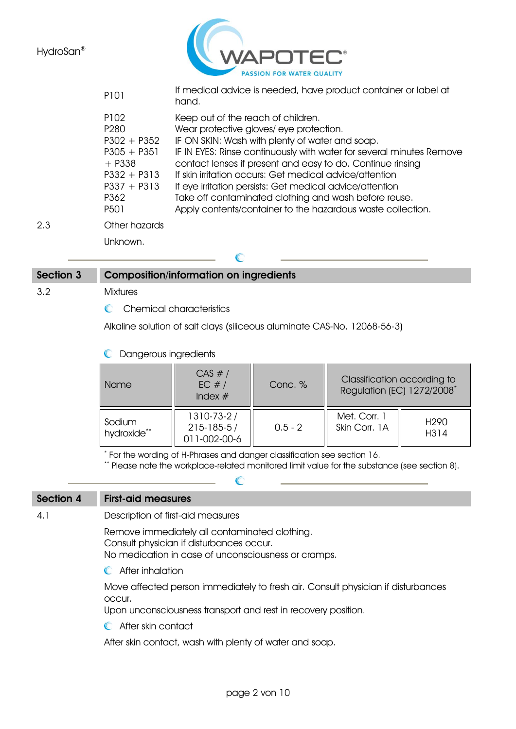

|     | P101                                                                                                                                  | If medical advice is needed, have product container or label at<br>hand.                                                                                                                                                                                                                                                                                                                                                                                                                                             |
|-----|---------------------------------------------------------------------------------------------------------------------------------------|----------------------------------------------------------------------------------------------------------------------------------------------------------------------------------------------------------------------------------------------------------------------------------------------------------------------------------------------------------------------------------------------------------------------------------------------------------------------------------------------------------------------|
|     | P102<br>P <sub>280</sub><br>$P302 + P352$<br>$P305 + P351$<br>$+$ P338<br>$P332 + P313$<br>$P337 + P313$<br>P362<br>P <sub>50</sub> 1 | Keep out of the reach of children.<br>Wear protective gloves/eye protection.<br>IF ON SKIN: Wash with plenty of water and soap.<br>IF IN EYES: Rinse continuously with water for several minutes Remove<br>contact lenses if present and easy to do. Continue rinsing<br>If skin irritation occurs: Get medical advice/attention<br>If eye irritation persists: Get medical advice/attention<br>Take off contaminated clothing and wash before reuse.<br>Apply contents/container to the hazardous waste collection. |
| 2.3 | Other hazards                                                                                                                         |                                                                                                                                                                                                                                                                                                                                                                                                                                                                                                                      |
|     | Unknown.                                                                                                                              |                                                                                                                                                                                                                                                                                                                                                                                                                                                                                                                      |
|     |                                                                                                                                       |                                                                                                                                                                                                                                                                                                                                                                                                                                                                                                                      |

# **Section 3 Composition/information on ingredients** 3.2 Mixtures

C Chemical characteristics

Alkaline solution of salt clays (siliceous aluminate CAS-No. 12068-56-3)

Dangerous ingredients

| l Name                | CAS #/<br>EC $#/$<br>Index $#$                 | Conc. %   | Classification according to<br>Regulation (EC) 1272/2008 <sup>*</sup> |                          |
|-----------------------|------------------------------------------------|-----------|-----------------------------------------------------------------------|--------------------------|
| Sodium<br>hydroxide** | 1310-73-2/<br>$215 - 185 - 5/$<br>011-002-00-6 | $0.5 - 2$ | Met. Corr. 1<br>Skin Corr, 1A                                         | H <sub>290</sub><br>H314 |

\* For the wording of H-Phrases and danger classification see section 16.

 $\sqrt{2}$ 

\*\* Please note the workplace-related monitored limit value for the substance (see section 8).

#### **Section 4 First-aid measures**

4.1 Description of first-aid measures

Remove immediately all contaminated clothing. Consult physician if disturbances occur. No medication in case of unconsciousness or cramps.

- 
- **C** After inhalation

Move affected person immediately to fresh air. Consult physician if disturbances occur.

Upon unconsciousness transport and rest in recovery position.

**C** After skin contact

After skin contact, wash with plenty of water and soap.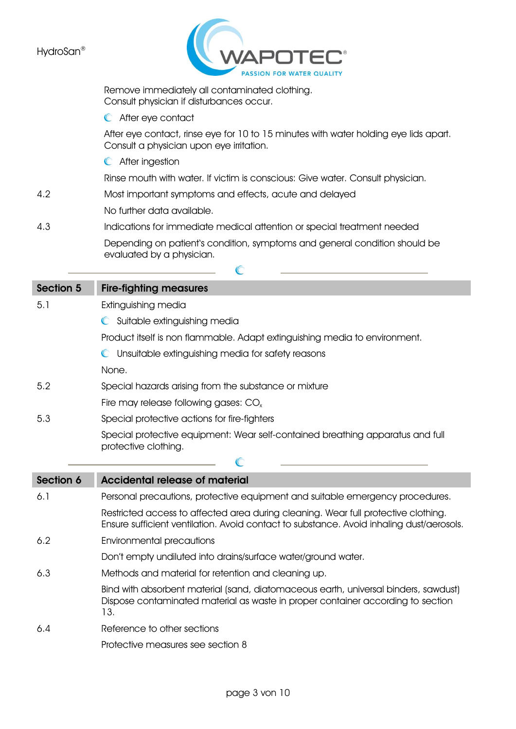

|                  | Remove immediately all contaminated clothing.<br>Consult physician if disturbances occur.                                                                                      |
|------------------|--------------------------------------------------------------------------------------------------------------------------------------------------------------------------------|
|                  | C After eye contact                                                                                                                                                            |
|                  | After eye contact, rinse eye for 10 to 15 minutes with water holding eye lids apart.<br>Consult a physician upon eye irritation.                                               |
|                  | C After ingestion                                                                                                                                                              |
|                  | Rinse mouth with water. If victim is conscious: Give water. Consult physician.                                                                                                 |
| 4.2              | Most important symptoms and effects, acute and delayed                                                                                                                         |
|                  | No further data available.                                                                                                                                                     |
| 4.3              | Indications for immediate medical attention or special treatment needed                                                                                                        |
|                  | Depending on patient's condition, symptoms and general condition should be<br>evaluated by a physician.                                                                        |
|                  | $\mathbb{C}$                                                                                                                                                                   |
| <b>Section 5</b> | <b>Fire-fighting measures</b>                                                                                                                                                  |
| 5.1              | Extinguishing media                                                                                                                                                            |
|                  | C Suitable extinguishing media                                                                                                                                                 |
|                  | Product itself is non flammable. Adapt extinguishing media to environment.                                                                                                     |
|                  | Unsuitable extinguishing media for safety reasons                                                                                                                              |
|                  | None.                                                                                                                                                                          |
| 5.2              | Special hazards arising from the substance or mixture                                                                                                                          |
|                  | Fire may release following gases: $COx$                                                                                                                                        |
| 5.3              | Special protective actions for fire-fighters                                                                                                                                   |
|                  | Special protective equipment: Wear self-contained breathing apparatus and full<br>protective clothing.                                                                         |
|                  | C                                                                                                                                                                              |
| <b>Section 6</b> | <b>Accidental release of material</b>                                                                                                                                          |
| 6.1              | Personal precautions, protective equipment and suitable emergency procedures.                                                                                                  |
|                  | Restricted access to affected area during cleaning. Wear full protective clothing.<br>Ensure sufficient ventilation. Avoid contact to substance. Avoid inhaling dust/aerosols. |
| 6.2              | Environmental precautions                                                                                                                                                      |
|                  | Don't empty undiluted into drains/surface water/ground water.                                                                                                                  |
| 6.3              | Methods and material for retention and cleaning up.                                                                                                                            |
|                  | Bind with absorbent material (sand, diatomaceous earth, universal binders, sawdust)<br>Dispose contaminated material as waste in proper container according to section<br>13.  |
| 6.4              | Reference to other sections                                                                                                                                                    |
|                  | Protective measures see section 8                                                                                                                                              |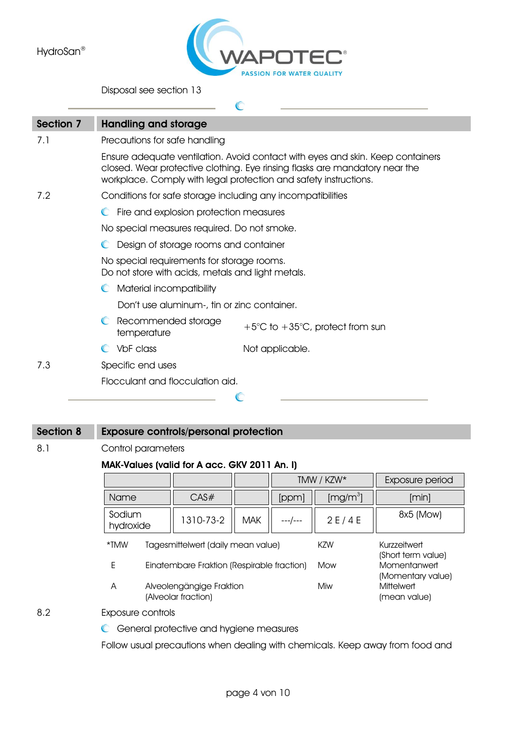

Disposal see section 13

| Section 7 | <b>Handling and storage</b>                                                                                                                                                                                                       |
|-----------|-----------------------------------------------------------------------------------------------------------------------------------------------------------------------------------------------------------------------------------|
| 7.1       | Precautions for safe handling                                                                                                                                                                                                     |
|           | Ensure adequate ventilation. Avoid contact with eyes and skin. Keep containers<br>closed. Wear protective clothing. Eye rinsing flasks are mandatory near the<br>workplace. Comply with legal protection and safety instructions. |
| 7.2       | Conditions for safe storage including any incompatibilities                                                                                                                                                                       |
|           | Fire and explosion protection measures<br>$\mathbb{C}$                                                                                                                                                                            |
|           | No special measures required. Do not smoke.                                                                                                                                                                                       |
|           | Design of storage rooms and container<br>$\mathbb{C}$                                                                                                                                                                             |
|           | No special requirements for storage rooms.<br>Do not store with acids, metals and light metals.                                                                                                                                   |
|           | Material incompatibility                                                                                                                                                                                                          |
|           | Don't use aluminum-, tin or zinc container.                                                                                                                                                                                       |
|           | Recommended storage<br>$\mathbb{C}$<br>$+5^{\circ}$ C to $+35^{\circ}$ C, protect from sun<br>temperature                                                                                                                         |
|           | VbF class<br>Not applicable.                                                                                                                                                                                                      |
| 7.3       | Specific end uses                                                                                                                                                                                                                 |
|           | Flocculant and flocculation aid.                                                                                                                                                                                                  |
|           |                                                                                                                                                                                                                                   |

## **Section 8 Exposure controls/personal protection**

8.1 Control parameters

#### **MAK-Values (valid for A acc. GKV 2011 An. I)**

|                                            |                                                                                         |           |            |         | TMW / KZW*           | Exposure period                                        |
|--------------------------------------------|-----------------------------------------------------------------------------------------|-----------|------------|---------|----------------------|--------------------------------------------------------|
| Name                                       |                                                                                         | CAS#      |            | [ppm]   | [mg/m <sup>3</sup> ] | [min]                                                  |
| Sodium<br>hydroxide                        |                                                                                         | 1310-73-2 | <b>MAK</b> | ---/--- | 2E/4E                | 8x5 (Mow)                                              |
| *TMW<br>Tagesmittelwert (daily mean value) |                                                                                         |           |            | KZW     | Kurzzeitwert         |                                                        |
| E                                          | (Short term value)<br>Momentanwert<br>Einatembare Fraktion (Respirable fraction)<br>Mow |           |            |         |                      |                                                        |
| A                                          | Alveolengängige Fraktion<br>(Alveolar fraction)                                         |           |            |         | Miw                  | (Momentary value)<br><b>Mittelwert</b><br>(mean value) |
| Exposure controls                          |                                                                                         |           |            |         |                      |                                                        |

8.2 Exposure controls

**C** General protective and hygiene measures

Follow usual precautions when dealing with chemicals. Keep away from food and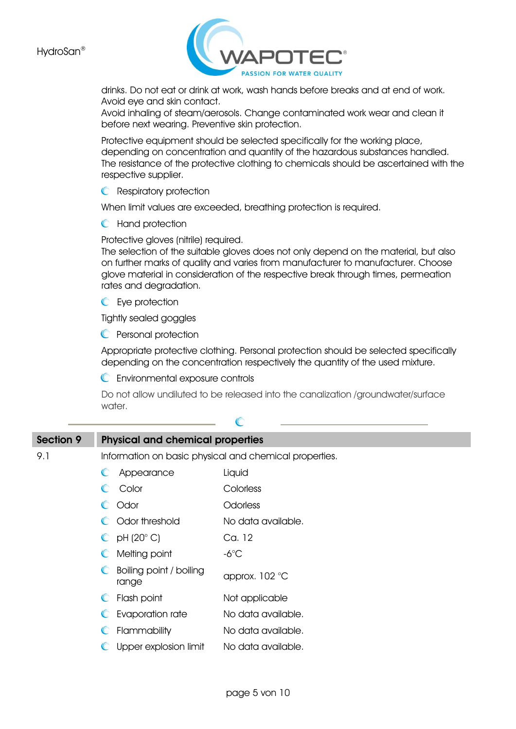

drinks. Do not eat or drink at work, wash hands before breaks and at end of work. Avoid eye and skin contact.

Avoid inhaling of steam/aerosols. Change contaminated work wear and clean it before next wearing. Preventive skin protection.

Protective equipment should be selected specifically for the working place, depending on concentration and quantity of the hazardous substances handled. The resistance of the protective clothing to chemicals should be ascertained with the respective supplier.

**C** Respiratory protection

When limit values are exceeded, breathing protection is required.

**C** Hand protection

Protective gloves (nitrile) required.

The selection of the suitable gloves does not only depend on the material, but also on further marks of quality and varies from manufacturer to manufacturer. Choose glove material in consideration of the respective break through times, permeation rates and degradation.

**C** Eve protection

Tightly sealed goggles

**C** Personal protection

Appropriate protective clothing. Personal protection should be selected specifically depending on the concentration respectively the quantity of the used mixture.

Environmental exposure controls

Do not allow undiluted to be released into the canalization /groundwater/surface water.

| Section 9 |                               | <b>Physical and chemical properties</b> |                                                        |
|-----------|-------------------------------|-----------------------------------------|--------------------------------------------------------|
| 9.1       |                               |                                         | Information on basic physical and chemical properties. |
|           | Appearance<br>$\mathbb{C}$    |                                         | Liquid                                                 |
|           | Color<br>$\mathbb{C}$         |                                         | Colorless                                              |
|           | C Odor                        |                                         | Odorless                                               |
|           | C Odor threshold              |                                         | No data available.                                     |
|           | $O$ pH (20 $^{\circ}$ C)      |                                         | Ca. 12                                                 |
|           | Melting point<br>$\mathbb{C}$ |                                         | -6 $^{\circ}$ C                                        |
|           | $\mathbb{C}$<br>range         | Boiling point / boiling                 | approx. 102 °C                                         |
|           | Flash point<br>$\mathbb{C}$   |                                         | Not applicable                                         |
|           | $\mathbb{C}$                  | Evaporation rate                        | No data available.                                     |
|           | Flammability<br>$\mathbb{C}$  |                                         | No data available.                                     |
|           | $\mathbb{C}$                  | Upper explosion limit                   | No data available.                                     |

 $\mathbb{C}$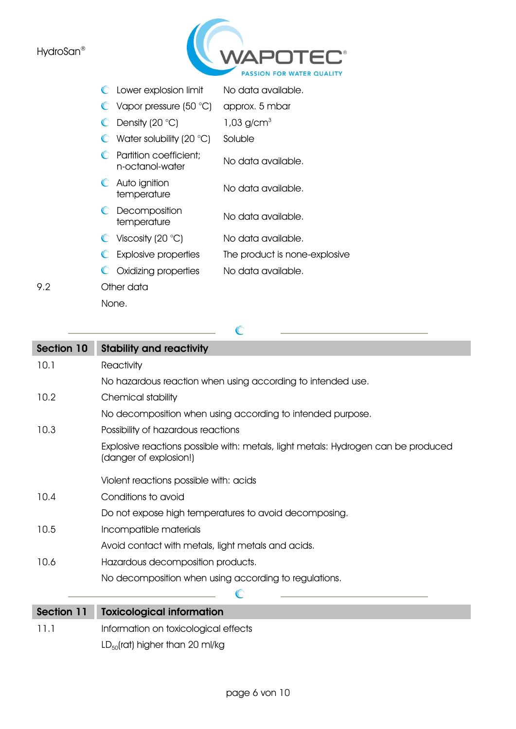

| Lower explosion limit | No data available. |
|-----------------------|--------------------|
|-----------------------|--------------------|

- Vapor pressure (50 °C) approx. 5 mbar
- $\bullet$  Density (20 °C) 1,03 g/cm<sup>3</sup>
- $\bullet$  Water solubility (20  $\degree$ C) Soluble
- **C** Partition coefficient; rumilon coemcient, No data available.<br>n-octanol-water
- **C** Auto ignition Adio ignificities and No data available.
- **C** Decomposition becomposition<br>temperature No data available.
- $\bullet$  Viscosity (20 °C) No data available.
- Explosive properties The product is none-explosive

 $\overline{C}$ 

C Oxidizing properties No data available.

## 9.2 Other data

None.

## **Section 10 Stability and reactivity** 10.1 Reactivity No hazardous reaction when using according to intended use. 10.2 Chemical stability No decomposition when using according to intended purpose. 10.3 Possibility of hazardous reactions Explosive reactions possible with: metals, light metals: Hydrogen can be produced (danger of explosion!) Violent reactions possible with: acids 10.4 Conditions to avoid Do not expose high temperatures to avoid decomposing. 10.5 Incompatible materials Avoid contact with metals, light metals and acids. 10.6 Hazardous decomposition products. No decomposition when using according to regulations.  $\subset$ **Section 11 Toxicological information** 11.1 Information on toxicological effects

 $LD_{50}$ (rat) higher than 20 ml/kg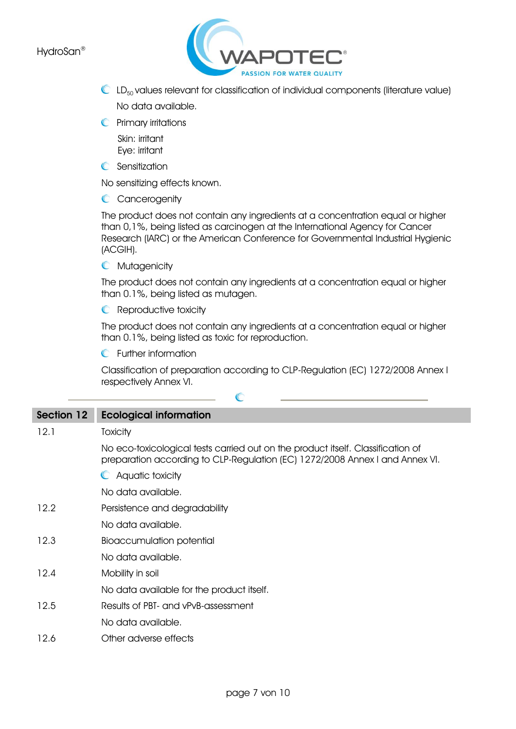

- $\mathbb{C}$  LD<sub>50</sub> values relevant for classification of individual components (literature value) No data available.
- **C** Primary irritations

 Skin: irritant Eye: irritant

**C** Sensitization

No sensitizing effects known.

C Cancerogenity

The product does not contain any ingredients at a concentration equal or higher than 0,1%, being listed as carcinogen at the International Agency for Cancer Research (IARC) or the American Conference for Governmental Industrial Hygienic (ACGIH).

**C** Mutagenicity

The product does not contain any ingredients at a concentration equal or higher than 0.1%, being listed as mutagen.

**C** Reproductive toxicity

The product does not contain any ingredients at a concentration equal or higher than 0.1%, being listed as toxic for reproduction.

**C** Further information

Classification of preparation according to CLP-Regulation (EC) 1272/2008 Annex I respectively Annex VI.

| Section 12 | <b>Ecological information</b>                                                                                                                                   |
|------------|-----------------------------------------------------------------------------------------------------------------------------------------------------------------|
| 12.1       | <b>Toxicity</b>                                                                                                                                                 |
|            | No eco-toxicological tests carried out on the product itself. Classification of<br>preparation according to CLP-Regulation (EC) 1272/2008 Annex I and Annex VI. |
|            | C Aquatic toxicity                                                                                                                                              |
|            | No data available.                                                                                                                                              |
| 12.2       | Persistence and degradability                                                                                                                                   |
|            | No data available.                                                                                                                                              |
| 12.3       | <b>Bioaccumulation potential</b>                                                                                                                                |
|            | No data available.                                                                                                                                              |
| 12.4       | Mobility in soil                                                                                                                                                |
|            | No data available for the product itself.                                                                                                                       |
| 12.5       | Results of PBT- and vPvB-assessment                                                                                                                             |
|            | No data available.                                                                                                                                              |
| 12.6       | Other adverse effects                                                                                                                                           |

 $\mathbb{C}$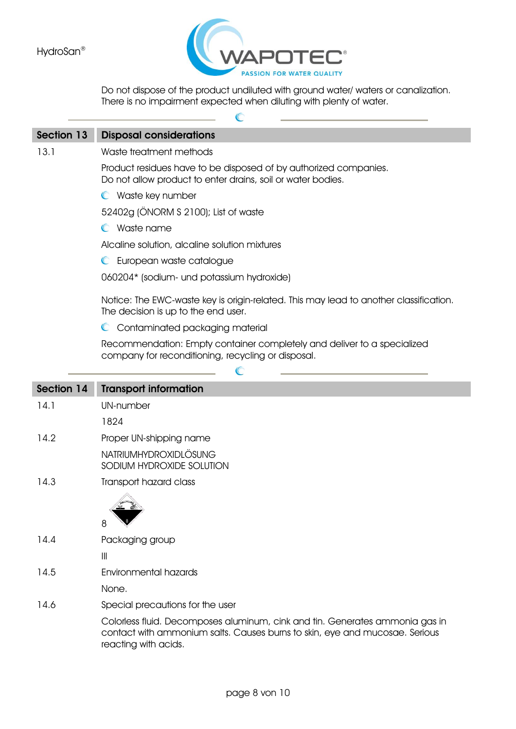

Do not dispose of the product undiluted with ground water/ waters or canalization. There is no impairment expected when diluting with plenty of water.

|                   | $\mathbb{C}$                                                                                                                    |
|-------------------|---------------------------------------------------------------------------------------------------------------------------------|
| <b>Section 13</b> | <b>Disposal considerations</b>                                                                                                  |
| 13.1              | Waste treatment methods                                                                                                         |
|                   | Product residues have to be disposed of by authorized companies.<br>Do not allow product to enter drains, soil or water bodies. |
|                   | C Waste key number                                                                                                              |
|                   | 52402g (ÖNORM S 2100); List of waste                                                                                            |
|                   | $\mathbb C$ Waste name                                                                                                          |
|                   | Alcaline solution, alcaline solution mixtures                                                                                   |
|                   | European waste catalogue<br>$\mathbb{C}$                                                                                        |
|                   | 060204* (sodium- und potassium hydroxide)                                                                                       |
|                   | Notice: The EWC-waste key is origin-related. This may lead to another classification.<br>The decision is up to the end user.    |
|                   | Contaminated packaging material<br>$\mathbb{C}$                                                                                 |
|                   | Recommendation: Empty container completely and deliver to a specialized<br>company for reconditioning, recycling or disposal.   |
|                   |                                                                                                                                 |
| Section 14        | <b>Transport information</b>                                                                                                    |
| 14.1              | UN-number                                                                                                                       |
|                   | 1824                                                                                                                            |
| 14.2              | Proper UN-shipping name                                                                                                         |
|                   | <b>NATRIUMHYDROXIDLÖSUNG</b><br>SODIUM HYDROXIDE SOLUTION                                                                       |
| 14.3              | Transport hazard class                                                                                                          |
|                   | 4<br>8                                                                                                                          |
| 14.4              | Packaging group                                                                                                                 |
|                   | $\begin{array}{c} \hline \end{array}$                                                                                           |
| 14.5              | Environmental hazards                                                                                                           |
|                   | None.                                                                                                                           |
| 14.6              | Special precautions for the user                                                                                                |
|                   | Colorless fluid. Decomposes aluminum, cink and tin. Generates ammonia gas in                                                    |

contact with ammonium salts. Causes burns to skin, eye and mucosae. Serious reacting with acids.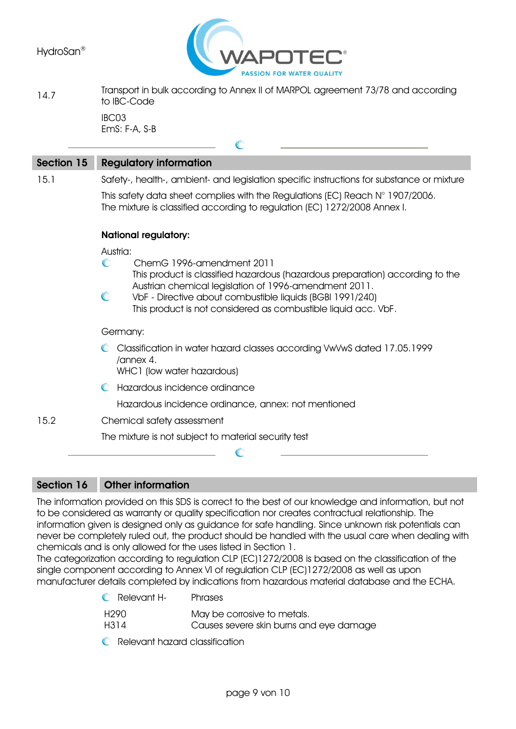

14.7 Transport in bulk according to Annex II of MARPOL agreement 73/78 and according to IBC-Code IBC03

 $\sqrt{2}$ 

EmS: F-A, S-B

| <b>Section 15</b> | <b>Regulatory information</b>                                                                                                          |
|-------------------|----------------------------------------------------------------------------------------------------------------------------------------|
| 15.1              | Safety-, health-, ambient- and legislation specific instructions for substance or mixture                                              |
|                   | This safety data sheet complies with the Regulations (EC) Reach $N^{\circ}$ 1907/2006.                                                 |
|                   | The mixture is classified according to regulation (EC) 1272/2008 Annex I.                                                              |
|                   | <b>National regulatory:</b>                                                                                                            |
|                   | Austria:                                                                                                                               |
|                   | $\mathbb{C}$<br>ChemG 1996-amendment 2011                                                                                              |
|                   | This product is classified hazardous (hazardous preparation) according to the<br>Austrian chemical legislation of 1996-amendment 2011. |
|                   | $\mathbb{C}$<br>VbF - Directive about combustible liquids (BGBI 1991/240)                                                              |
|                   | This product is not considered as combustible liquid acc. VbF.                                                                         |
|                   | Germany:                                                                                                                               |
|                   | Classification in water hazard classes according VwVwS dated 17.05.1999<br>/annex 4.                                                   |
|                   | WHC1 (low water hazardous)                                                                                                             |
|                   | Hazardous incidence ordinance                                                                                                          |
|                   | Hazardous incidence ordinance, annex: not mentioned                                                                                    |
| 15.2              | Chemical safety assessment                                                                                                             |
|                   | The mixture is not subject to material security test                                                                                   |
|                   |                                                                                                                                        |
|                   |                                                                                                                                        |
|                   |                                                                                                                                        |

### **Section 16 Other information**

The information provided on this SDS is correct to the best of our knowledge and information, but not to be considered as warranty or quality specification nor creates contractual relationship. The information given is designed only as guidance for safe handling. Since unknown risk potentials can never be completely ruled out, the product should be handled with the usual care when dealing with chemicals and is only allowed for the uses listed in Section 1.

The categorization according to regulation CLP (EC)1272/2008 is based on the classification of the single component according to Annex VI of regulation CLP (EC)1272/2008 as well as upon manufacturer details completed by indications from hazardous material database and the ECHA.

| <b>C</b> Relevant H- | <b>Phrases</b>                          |
|----------------------|-----------------------------------------|
| H290                 | May be corrosive to metals.             |
| H314                 | Causes severe skin burns and eye damage |

Relevant hazard classification